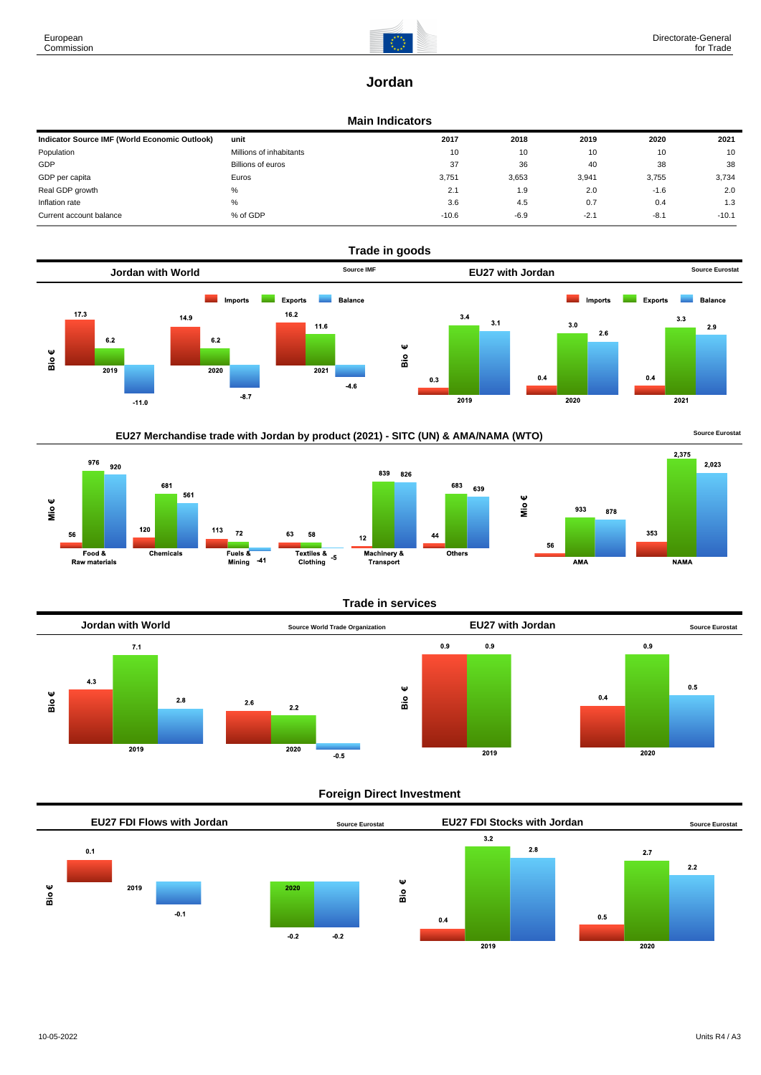

# **Jordan**

## **Main Indicators**

| Indicator Source IMF (World Economic Outlook) | unit                    | 2017    | 2018   | 2019   | 2020   | 2021    |
|-----------------------------------------------|-------------------------|---------|--------|--------|--------|---------|
| Population                                    | Millions of inhabitants | 10      | 10     | 10     | 10     | 10      |
| GDP                                           | Billions of euros       | 37      | 36     | 40     | 38     | 38      |
| GDP per capita                                | Euros                   | 3,751   | 3,653  | 3,941  | 3,755  | 3,734   |
| Real GDP growth                               | %                       | 2.1     | 1.9    | 2.0    | $-1.6$ | 2.0     |
| Inflation rate                                | %                       | 3.6     | 4.5    | 0.7    | 0.4    | 1.3     |
| Current account balance                       | % of GDP                | $-10.6$ | $-6.9$ | $-2.1$ | $-8.1$ | $-10.1$ |









## **Trade in services**

639



## **Foreign Direct Investment**